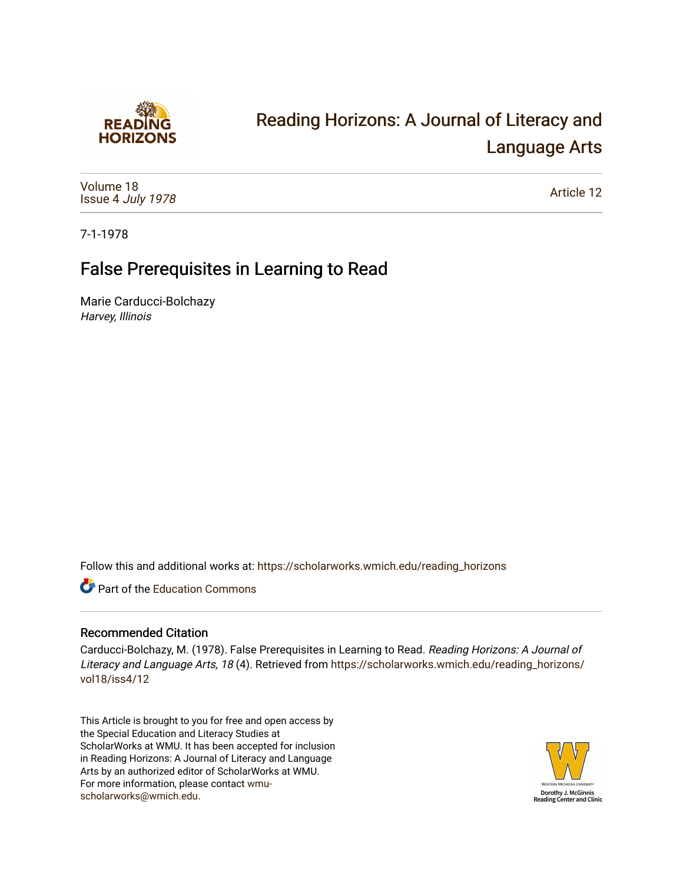

# [Reading Horizons: A Journal of Literacy and](https://scholarworks.wmich.edu/reading_horizons)  [Language Arts](https://scholarworks.wmich.edu/reading_horizons)

[Volume 18](https://scholarworks.wmich.edu/reading_horizons/vol18) Issue 4 [July 1978](https://scholarworks.wmich.edu/reading_horizons/vol18/iss4)

[Article 12](https://scholarworks.wmich.edu/reading_horizons/vol18/iss4/12) 

7-1-1978

## False Prerequisites in Learning to Read

Marie Carducci-Bolchazy Harvey, Illinois

Follow this and additional works at: [https://scholarworks.wmich.edu/reading\\_horizons](https://scholarworks.wmich.edu/reading_horizons?utm_source=scholarworks.wmich.edu%2Freading_horizons%2Fvol18%2Fiss4%2F12&utm_medium=PDF&utm_campaign=PDFCoverPages)

**C** Part of the [Education Commons](http://network.bepress.com/hgg/discipline/784?utm_source=scholarworks.wmich.edu%2Freading_horizons%2Fvol18%2Fiss4%2F12&utm_medium=PDF&utm_campaign=PDFCoverPages)

### Recommended Citation

Carducci-Bolchazy, M. (1978). False Prerequisites in Learning to Read. Reading Horizons: A Journal of Literacy and Language Arts, 18 (4). Retrieved from [https://scholarworks.wmich.edu/reading\\_horizons/](https://scholarworks.wmich.edu/reading_horizons/vol18/iss4/12?utm_source=scholarworks.wmich.edu%2Freading_horizons%2Fvol18%2Fiss4%2F12&utm_medium=PDF&utm_campaign=PDFCoverPages) [vol18/iss4/12](https://scholarworks.wmich.edu/reading_horizons/vol18/iss4/12?utm_source=scholarworks.wmich.edu%2Freading_horizons%2Fvol18%2Fiss4%2F12&utm_medium=PDF&utm_campaign=PDFCoverPages) 

This Article is brought to you for free and open access by the Special Education and Literacy Studies at ScholarWorks at WMU. It has been accepted for inclusion in Reading Horizons: A Journal of Literacy and Language Arts by an authorized editor of ScholarWorks at WMU. For more information, please contact [wmu](mailto:wmu-scholarworks@wmich.edu)[scholarworks@wmich.edu.](mailto:wmu-scholarworks@wmich.edu)

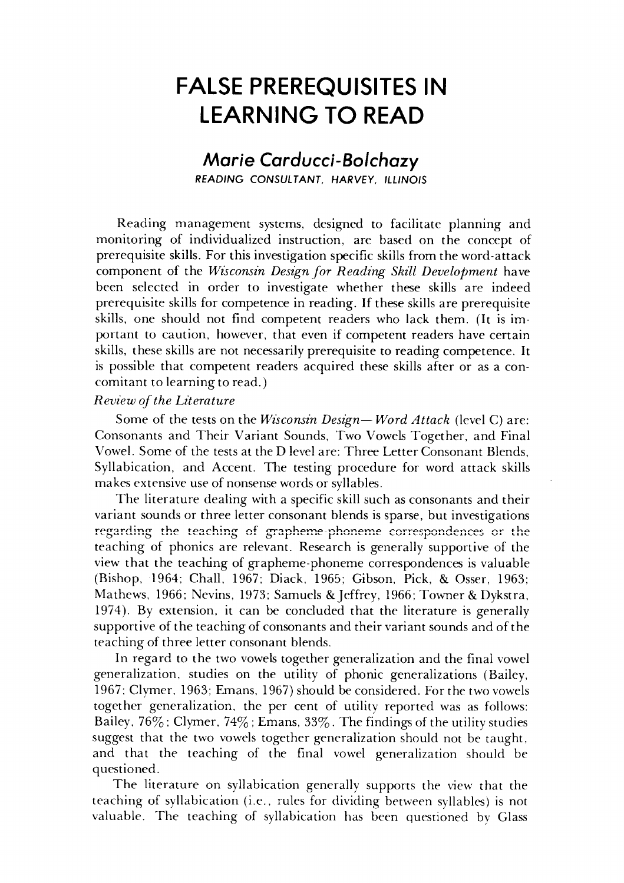## *FALSE PREREQUISITES IN* **FALSE PREREQUISITES IN**  *LEARNING TO READ* **LEARNING TO READ**

### *Marie Carducci-Bolchazy* **Marie Carducci-Bo/chazy**  *READING CONSULTANT, HARVEY, ILLINOIS* READING CONSUL T ANT. HARVEY, ILLINOIS

Reading management systems, designed to facilitate planning and Reading management systems, designed to facilitate planning and monitoring of individualized instruction, are based on the concept of monitoring of individualized instruction, are based on the concept of prerequisite skills. For this investigation specific skills from the word-attack prerequisite skills. For this investigation specific skills from the word-attack component of the Wisconsin Design for Reading Skill Development have been selected in order to investigate whether these skills are indeed been selected in order to investigate whether these skills are indeed prerequisite skills for competence in reading. If these skills are prerequisite prerequisite skills for competence in reading. these skills are prerequisite skills, one should not find competent readers who lack them. (It is im skills, one should not find competent readers who lack them. (It is important to caution, however, that even if competent readers have certain portant to caution, however, that even if competent readers have certain skills, these skills are not necessarily prerequisite to reading competence. It skills, these skills are not necessarily prerequisite to reading competence. It is possible that competent readers acquired these skills after or as a con is possible that competent readers acquired these skills after or as a concomitant to learning to read.) comitant to learning to read.)

### **Review ofthe Literature** *Review of the Literature*

Some of the tests on the Wisconsin Design-Word Attack (level C) are: Consonants and Their Variant Sounds, Two Vowels Together, and Final Consonants and Their Variant Sounds, Two Vowels Together, and Final Vowel. Some of the tests at the D level are: Three Letter Consonant Blends, Vowel. Some of the tests at the D level are: Three Letter Consonant Blends, Syllabication, and Accent. The testing procedure for word attack skills Syllabication, and Accent. The testing procedure for word attack skills makes extensive use of nonsense words or syllables.

The literature dealing with a specific skill such as consonants and their The literature dealing with a specific skill such as consonants and their variant sounds or three letter consonant blends is sparse, but investigations regarding the teaching of grapheme-phoneme correspondences or the teaching of phonics are relevant. Research is generally supportive of the teaching of phonics are relevant. Research is generally supportive of the view that the teaching of grapheme-phoneme correspondences is valuable view that the teaching of grapheme-phoneme correspondences is valuable (Bishop, 1964; Chall, 1967; Diack, 1965; Gibson, Pick, & Osser, 1963; (Bishop, 1964; Chall, 1967; Diack, 1965; Gibson, Pick, & Osser, 1963; Mathews, 1966; Nevins, 1973; Samuels &Jeffrey, 1966; Towner & Dykstra, Mathews, 1966; Nevins, 1973; Samuels & Jeffrey, 1966; Towner & Dykstra, 1974). By extension, it can be concluded that the literature is generally 1974). By extension, it can be concluded that the literature is generally supportive of the teaching of consonants and their variant sounds and of the supportive of the teaching of consonants and their variant sounds and of the teaching of three letter consonant blends. teaching of three letter consonant blends.

In regard to the two vowels together generalization and the final vowel In regard to the two vowels together generalization and the final vowel generalization, studies on the utility of phonic generalizations (Bailey, generalization, studies on the utility of phonic generalizations (Bailey, 1967; Clymer, 1963; Emans, 1967) should be considered. For the two vowels 1967; Clymer, 1963; Emans, 1967) should be considered. For the vowels together generalization, the per cent of utility reported was as follows: together generalization, the per cent of utility reported was as follows: Bailey,  $76\%$  ; Clymer,  $74\%$  ; Emans,  $33\%$  . The findings of the utility studies suggest that the two vowels together generalization should not be taught, suggest that the two vowels together generalization should not be taught, and that the teaching of the final vowel generalization should be and that the teaching of the final vowel generalization should be questioned. questioned.

The literature on syllabication generally supports the view that the teaching of syllabication (i.e., rules for dividing between syllables) is not teaching of syllabication (i.e., rules for dividing between syllables) is not valuable. The teaching of syllabication has been questioned by Glass valuable. The teaching of syllabication has been questioned by Glass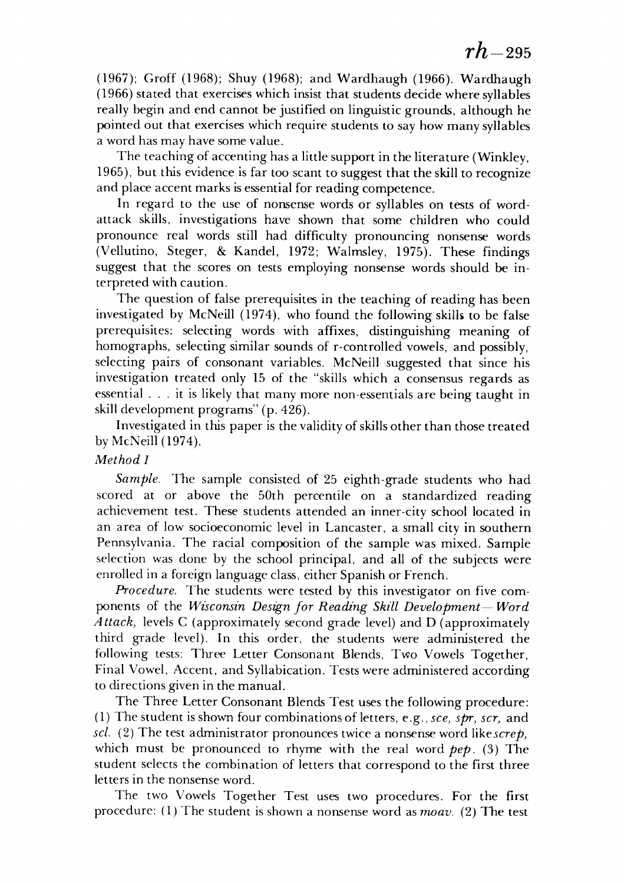(1967); Groff (1968); Shuy (1968); and Wardhaugh (1966). Wardhaugh (1967); Groff (1968); Shuy (1968); and Wardhaugh (1966). Wardhaugh (1966) stated that exercises which insist that students decide where syllables (1966) stated that exercises which insist that students decide where syllables really begin and end cannot be justified on linguistic grounds, although he really begin and end cannot be justified on linguistic grounds, although he pointed out that exercises which require students to say how many syllables pointed out that exercises which require students to say how many syllables a word has may have some value. a word has may have some value.

The teaching of accenting has a little support in the literature (Winkley, The teaching of accenting has a little support in the literature (Winkley, 1965), but this evidence is far too scant to suggest that the skill to recognize 1965), but this evidence is far too scant to suggest that the skill to recognize and place accent marks is essential for reading competence.

In regard to the use of nonsense words or syllables on tests of word-In regard to the use of nonsense words or syllables on tests of wordattack skills, investigations have shown that some children who could attack skills, investigations have shown that some children who could pronounce real words still had difficulty pronouncing nonsense words pronounce real words still had difficulty pronouncing nonsense words (Vellutino, Steger, & Kandel, 1972; Walmsley, 1975). These findings (Vellutino, Steger, & Kandel, 1972; Walmsley, 1975). These findings suggest that the scores on tests employing nonsense words should be in suggest that the scores on tests employing nonsense words should be interpreted with caution. terpreted with caution.

The question of false prerequisites in the teaching of reading has been The question of false prerequisites in the teaching of reading has been investigated by McNeill (1974), who found the following skills to be false prerequisites: selecting words with affixes, distinguishing meaning of prerequisites: selecting words with affixes, distinguishing meaning of homographs, selecting similar sounds of r-controlled vowels, and possibly, homographs, selecting similar sounds of r-controlled vowels, and possibly,<br>selecting pairs of consonant variables. McNeill suggested that since his investigation treated only 15 of the "skills which a consensus regards as investigation treated only 15 of the "skills which a consensus regards as essential ... it is likely that many more non-essentials are being taught in essential ... it is likely that many more non-essentials are being taught in skill development programs" (p. 426). skill development programs" (p. 426).

Investigated in this paper is the validity of skillsother than those treated Investigated in this paper is the validity of skills other than those treated by McNeill (1974). by McNeill (1974).

#### **Method 1** *Method 1*

**Sample.** The sample consisted of 25 eighth-grade students who had *Sample.* The sample consisted of 25 eighth-grade students who had scored at or above the 50th percentile on a standardized reading scored at or above the 50th percentile on a standardized reading achievement test. These students attended an inner-city school located in achievement test. These students attended an inner-city school located in an area of low socioeconomic level in Lancaster, a small city in southern an area of low socioeconomic level in Lancaster, a small city in southern Pennsylvania. The racial composition of the sample was mixed. Sample Pennsylvania. The racial composition of the sample was mixed. Sample selection was done by the school principal, and all of the subjects were selection was done by the school principal, and all of the subjects were enrolled in a foreign language class, either Spanish or French. enrolled in a foreign language class, either Spanish or French.

**Procedure.** The students were tested by this investigator on five com *Procedure.* The students were tested by this investigator on five components of the *Wisconsin Design for Reading Skill Development-Word* **Attack,** levels C (approximately second grade level) and D (approximately *Attack)* levels C (approximately second grade level) and D (approximately third grade level). In this order, the students were administered the third grade level). In this order, the students were administered the following tests: Three Letter Consonant Blends, Two Vowels Together, following tests: Three Letter Consonant Blends, Two Vowels Together, Final Vowel, Accent, and Syllabication. Tests were administered according Final Vowel, Accent, and Syllabication. Tests were administered according to directions given in the manual.

The Three Letter Consonant Blends Test uses the following procedure: The Three Letter Consonant Blends Test uses the following procedure: (1) The student is shown four combinations of letters, **e.g., see, spr, scr,** and (1) The student is shown four combinations of letters, e.g., *sce) spry scr)* and **scl.** (2) The test administrator pronounces twice a nonsense word **likescrep,** *scl.* (2) The test administrator pronounces twice a nonsense word *likescrep)*  which must be pronounced to rhyme with the real word **pep.** (3) The which must be pronounced to rhyme with the real word *pep.* (3) The student selects the combination of letters that correspond to the first three student selects the combination of letters that correspond to the first three letters in the nonsense word. letters in the nonsense word.

The two Vowels Together Test uses two procedures. For the first The two Vowels Together Test uses two procedures. For the first procedure: (1) The student is shown a nonsense word as **moav.** (2) The test procedure: (l) The student is shown a nonsense word as *moav.* (2) The test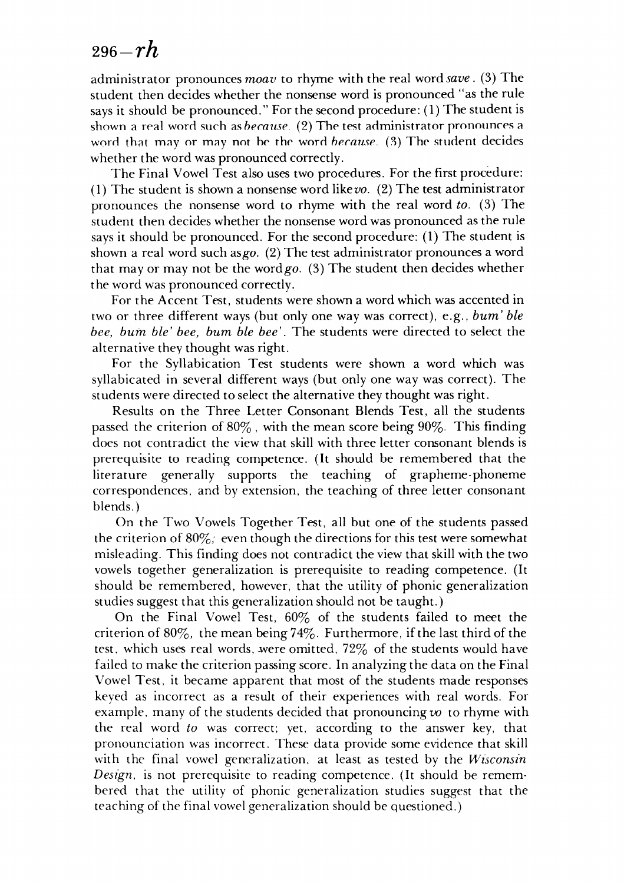## <sup>296</sup>**-rh** *296-rh*

administrator pronounces**moav** to rhyme with the real word**save .** (3) The administrator pronounces *moav* to rhyme with the real word *save.* (3) The student then decides whether the nonsense word is pronounced "as the rule student the nonsense word is pronounced "as the rule says it should be pronounced." For the second procedure: (1) The student is shown a real word such as *hecause.* (2) The test administrator pronounces a word that may or may not be the word *because*. (3) The student decides whether the word was pronounced correctly. whether the word was pronounced correctly.

The Final Vowel Test also uses two procedures. For the first procedure: The Final Vowel Test also uses two procedures. For the first procedure: (1) The student is shown a nonsense word like *vo.* (2) The test administrator pronounces the nonsense word to rhyme with the real word **to.** (3) The pronounces the nonsense word to rhyme with the real word *to.* (3) The student then decides whether the nonsense word was pronounced as the rule student then decides whether the nonsense word was pronounced as the rule says it should be pronounced. For the second procedure: (1) The student is says it should be pronounced. For the second procedure: (1) The student is shown a real word such asgo. (2) The test administrator pronounces a word shown a real word such *asgo.* (2) The test administrator pronounces a word that may or may not be the wordgo. (3) The student then decides whether that mayor not be the *wordgo.* (3) The student then decides whether the word was pronounced correctly. the word was pronounced correctly.

For the Accent Test, students were shown a word which was accented in For the Accent Test, students were shown a word which was accented in two or three different ways (but only one way was correct), e.g., **bum' ble** two or three different ways (but only one way was correct), e.g., *bum' bie*  **bee, bum ble' bee, bum ble bee'.** The students were directed to select the *bee, bum bie' bee, bum bie bee'.* The students were directed to select the alternative they thought was right. alternative they thought was right.

For the Syllabication Test students were shown a word which was For the Syllabication Test students were shown a word which was syllabicated in several different ways (but only one way was correct). The syllabicated in several different ways (but only one way was correct). The students were directed to select the alternative they thought was right. students were directed select the alternative they thought was right.

Results on the Three Letter Consonant Blends Test, all the students Results on the Three Letter Consonant Blends Test, all the students passed the criterion of 80%, with the mean score being 90%. This finding does not contradict the view that skill with three letter consonant blends is does not contradict the view that skill with three letter consonant blends is prerequisite to reading competence. (It should be remembered that the prerequisite to reading competence. (It should be remembered that the literature generally supports the teaching of grapheme-phoneme literature generally supports the teaching of grapheme-phoneme correspondences, and by extension, the teaching of three letter consonant correspondences, and by extension, the teaching of three letter consonant blends.) blends.)

On the Two Vowels Together Test, all but one of the students passed On the Two Vowels Together Test, all but one the students passed the criterion of 80%; even though the directions for this test were somewhat misleading. This finding does not contradict the view that skill with the two misleading. This finding does not contradict the view that skill with the two vowels together generalization is prerequisite to reading competence. (It vowels together generalization is prerequisite to reading competence. (It should be remembered, however, that the utility of phonic generalization should be remembered, however, that the utility of phonic generalization studies suggest that this generalization should not be taught.) studies suggest that this generalization should be taught.)

On the Final Vowel Test, 60% of the students failed to meet the On the Final Vowel Test, 60% of the students failed to meet the criterion of  $80\%$ , the mean being  $74\%$ . Furthermore, if the last third of the test, which uses real words, were omitted,  $72\%$  of the students would have failed to make the criterion passing score. In analyzing the data on the Final failed to make the criterion passing score. In analyzing the data on the Final Vowel Test, it became apparent that most of the students made responses Vowel Test, it became apparent that most the students made responses keyed as incorrect as a result of their experiences with real words. For keyed as incorrect as a result of their experiences with real words. For example, many of the students decided that pronouncing vo to rhyme with the real word **to** was correct; yet, according to the answer key, that the real word *to* was correct; yet, according to the answer key, that pronounciation was incorrect. These data provide some evidence that skill pronounciation was incorrect. These data provide some evidence that skill with the final vowel generalization, at least as tested by the *Wisconsin* **Design,** is not prerequisite to reading competence. (It should be remem *Deslgn,* is not prerequisite to reading competence. (It should be remembered that the utility of phonic generalization studies suggest that the bered that the utility of phonic generalization studies suggest that the teaching of the final vowel generalization should be questioned.)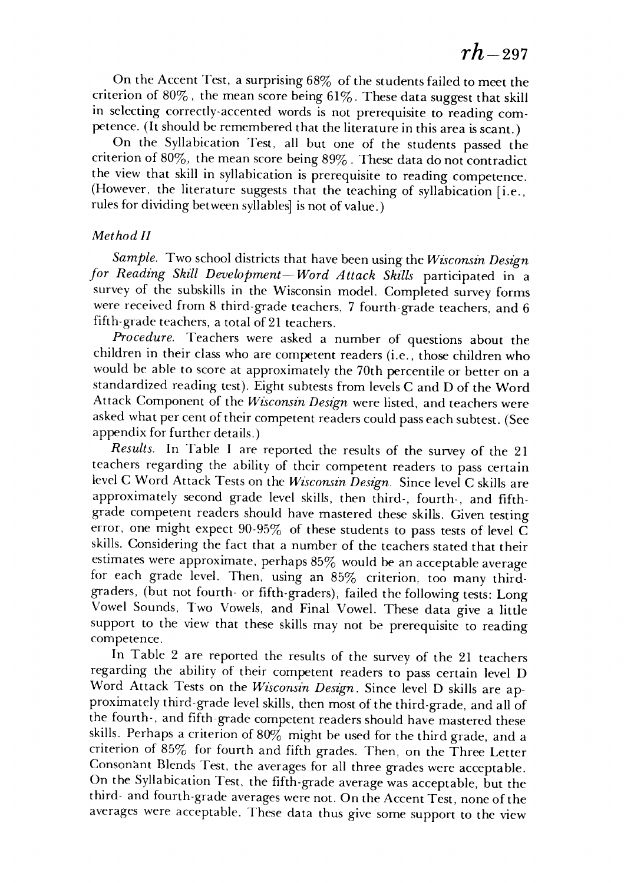**rh**-297 *rh-297* 

On the Accent Test, a surprising 68% of the students failed to meet the On the Accent Test, a surprising 68% of the students failed to meet the criterion of 80%, the mean score being 61%. These data suggest that skill in selecting correctly-accented words is not prerequisite to reading com in selecting correctly-accented words is not prerequisite to reading competence. (It should be remembered that the literature in this area is scant.)

On the Syllabication Test, all but one of the students passed the On the Syllabication Test, all but one of the students passed the criterion of 80%, the mean score being 89% . These data do not contradict criterion of 80%) the mean score being 89% . These data do not contradict the view that skill in syllabication is prerequisite to reading competence. the view that skill in syllabication is prerequisite to reading competence. (However, the literature suggests that the teaching of syllabication [i.e., (However, the literature suggests that the teaching of syllabication [i.e., rules for dividing between syllables] is not of value.)

### **Method II** *Method II*

**Sample.** Two school districts that have been using the**Wisconsin Design** *Sample.* Two school districts that have been using the *Wzsconszn Design*  **for Reading Skill Development—Word Attack Skills** participated in a *for Reading Skill Development- Word A ttack Skills* participated in a survey of the subskills in the Wisconsin model. Completed survey forms were received from 8 third-grade teachers, 7 fourth-grade teachers, and 6 were received from 8 third-grade teachers, 7 fourth-grade teachers, and 6 fifth-grade teachers, a total of 21 teachers. fifth-grade teachers, a total of 21 teachers.

**Procedure.** Teachers were asked a number of questions about the *Procedure.* Teachers were asked a number of questions about the children in their class who are competent readers (i.e., those children who children in their class who are competent readers (i.e., those children who would be able to score at approximately the 70th percentile or better on a would be able to score at approximately the 70th percentile or better on a standardized reading test). Eight subtests from levels C and D of the Word Attack Component of the **Wisconsin Design** were listed, and teachers were Attack Component of the *Wzsconsin Design* were listed, and teachers were asked what per cent of their competent readers could pass each subtest. (See appendix for further details.) appendix for further details.)

**Results.** In Table I are reported the results of the survey of the 21 *Results.* In Table I are reported the results of the survey of the 21 teachers regarding the ability of their competent readers to pass certain teachers regarding the ability of their competent readers to pass certain level C Word AttackTests on the **Wisconsin Design.** Sincelevel C skills are level C Word Attack Tests on the *Wzsconsin Design.* Since level C skills are approximately second grade level skills, then third-, fourth-, and fifth-approximately second grade level skills, then third-, fourth-, and fifthgrade competent readers should have mastered these skills. Given testing grade competent readers should have mastered these skills. Given testing error, one might expect  $90\text{-}95\%$  of these students to pass tests of level  $\breve{\text{C}}$ skills. Considering the fact that a number of the teachers stated that their estimates were approximate, perhaps 85% would be an acceptable average estimates were approximate, perhaps 85% would be an acceptable average for each grade level. Then, using an 85% criterion, too many third-for each grade level. Then, using an 85% criterion, too many thirdgraders, (but not fourth- or fifth-graders), failed the following tests: Long graders, (but not fourth- or fifth-graders), failed the following tests: Long Vowel Sounds, Two Vowels, and Final Vowel. These data give a little Vowel Sounds, Two Vowels, and Final Vowel. These data give a little support to the view that these skills may not be prerequisite to reading support to the view that these skills may not be prerequisite to reading competence. competence.

In Table 2 are reported the results of the survey of the 21 teachers In Table 2 are reported the results of the survey of the 21 teachers regarding the ability of their competent readers to pass certain level D regarding the ability of their competent readers to pass certain level D Word Attack Tests on the **Wisconsin Design.** Since level D skills are ap Word Attack Tests on the *Wzsconsin Design.* Since level D skills are approximately third-grade level skills, then most of the third-grade, and all of the fourth-, and fifth-grade competent readers should have mastered these the fourth-, and fifth-grade competent readers should have mastered these skills. Perhaps a criterion of 80% might be used for the third grade, and a criterion of 85% for fourth and fifth grades. Then, on the Three Letter Consonant Blends Test, the averages for all three grades were acceptable. Consonant Blends Test, the averages for all three grades were acceptable. On the Syllabication Test, the fifth-grade average was acceptable, but the On the Syllabication Test, the fifth-grade average was acceptable, but the third- and fourth-grade averages werenot. On the Accent Test, none of the third- and fourth-grade averages were not. On the Accent Test, none of the averages were acceptable. These data thus give some support to the view averages were acceptable. These data thus give some support to the view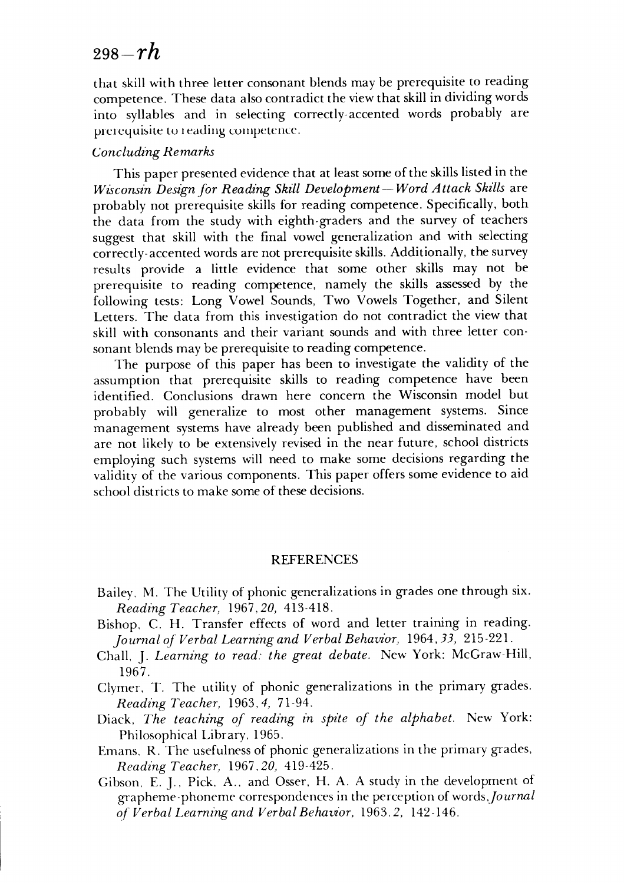## <sup>298</sup>**-rh** *298-rh*

that skill with three letter consonant blends may be prerequisite to reading that skill with three letter consonant blends may be prerequisite to reading competence. These data also contradict the view that skill in dividing words into syllables and in selecting correctly-accented words probably are into syllables and in selecting correctly-accented words probably are prerequisite to reading competence.

#### **Concluding Remarks** *Concluding Remarks*

This paper presented evidence that at least some of the skills listedin the This paper presented evidence that at least some of the skills listed in the **Wisconsin Designfor Reading Skill Development— Word Attack Skills** are *Wisconsin Design for Reading Skill Development- Word Attack Skdls* are probably not prerequisite skills for reading competence. Specifically, both probably not prerequisite skills for reading competence. Specifically, both the data from the study with eighth-graders and the survey of teachers the data from the study with eighth-graders and the survey of teachers suggest that skill with the final vowel generalization and with selecting suggest that skill with the final vowel generalization and with selecting correctly-accented wordsare not prerequisite skills. Additionally, the survey correctly-accented words are not prerequisite skills. Additionally, the survey results provide a little evidence that some other skills may not be results provide a little evidence that some other skills may not be prerequisite to reading competence, namely the skills assessed by the prerequisite to reading competence, namely the skills assessed by the following tests: Long Vowel Sounds, Two Vowels Together, and Silent following tests: Long Vowel Sounds, Two Vowels Together, and Silent Letters. The data from this investigation do not contradict the view that Letters. The data from this investigation do not contradict the view that skill with consonants and their variant sounds and with three letter con skill with consonants and their variant sounds and with three letter consonant blends may be prerequisite to reading competence. sonant blends may be prerequisite to reading competence.

The purpose of this paper has been to investigate the validity of the The purpose of this paper has been to investigate the validity of the assumption that prerequisite skills to reading competence have been assumption that prerequisite skills to reading competence have been identified. Conclusions drawn here concern the Wisconsin model but identified. Conclusions drawn here concern the Wisconsin model but probably will generalize to most other management systems. Since probably will generalize to most other management systems. Since management systems have already been published and disseminated and management systems have already been published and disseminated and are not likely to be extensively revised in the near future, school districts are not likely to be extensively revised in the near future, school districts employing such systems will need to make some decisions regarding the employing such systems will need to make some decisions regarding the validity of the various components. This paper offers some evidence to aid school districts to make some of these decisions. school districts to make some of these decisions.

#### REFERENCES REFERENCES

- Bailey, M. The Utility of phonic generalizations in grades one through six. Bailey. M. The Utility of phonic generalizations in grades one through six. **Reading Teacher,** 1967,20, 413-418. *Reading Teacher,* 1967,20, 413-418.
- Bishop, C. H. Transfer effects of word and letter training in reading. Bishop. C. H. Transfer effects of word and letter training in reading. **Journalof Verbal Learning and Verbal Behavior,** 1964,55, 215-221. *Journal of Verbal Learru'ng and Verbal Behavior,* 1964,33, 215-22l.
- Chall, J. **Learning to read: the great debate.** New York: McGraw-Hill, Chall, J. *Learning to read: the great debate.* New York: McGraw-Hill, 1967. 1967.
- Clymer, T. The utility of phonic generalizations in the primary grades. Clymer. T. The utility of phonic generalizations in the primary grades. **Reading Teacher,** 1963,-/, 71-94. *Reading Teacher,* 1963,4, 71-94.
- Diack, **The teaching of reading in spite of the alphabet.** New York: Diack, *The teaching of reading in spite of the alphabet.* New York: Philosophical Library, 1965. Philosophical Library, 1965.
- Emans, R. The usefulnessof phonic generalizations in the primary grades, Emans. R. The usefulness of phonic generalizations in the primary grades, **Reading Teacher,** 1967,20, 419-425. *Reading Teacher,* 1967.20, 419-425.
- Gibson, E. J., Pick, A., and Osser, H. A. A study in the development of Gibson. E. J.. Pick. A .. and Osser, H. A. A study in the development of grapheme-phoneme correspondences in the perception of words,fournal grapheme-phoneme correspondences in the perception of *words.journal*  **of Verbal Learning and VerbalBehavior,** 1963,2, 142-146. *of Verbal Learning and Verbal Behavior,* 1963.2, 142-146.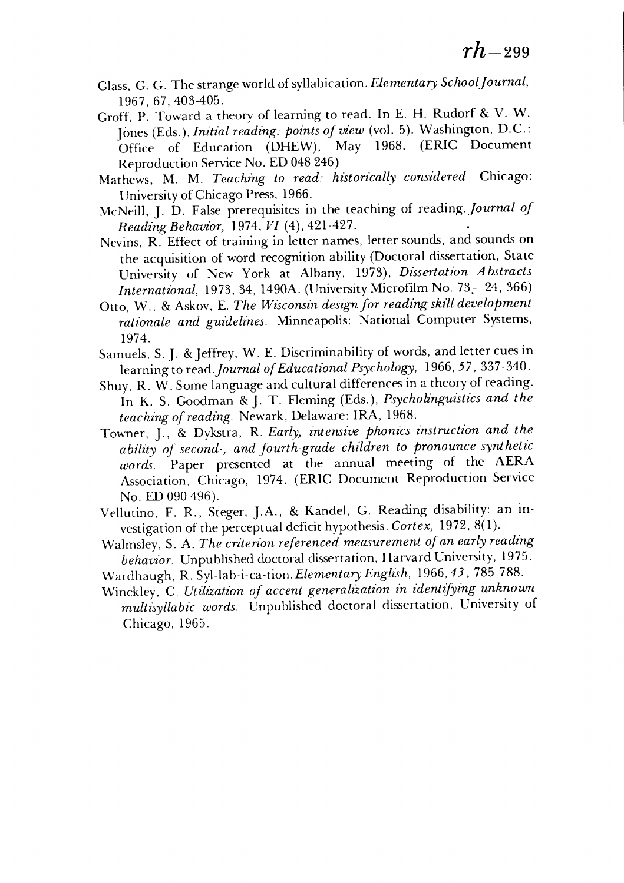- Glass, G. G. The strange world ofsyllabication. **Elementary SchoolJournal,** Glass, G. G. The strange world of syllabication. *Elementary SchoolJournal)*  1967, 67,403-405. 1967,67,403-405.
- Groff, P. Toward a theory of learning to read. In E. H. Rudorf & V. W. Groff, P. Toward a theory of learning to read. In E. H. Rudorf & V. W. Iones (Eds.), *Initial reading: points of view* (vol. 5). Washington, D.C.: Office of Education (DHEW), May 1968. (ERIC Document Office of Education (DHEW), May 1968. (ERIC Document ReproductionService No. ED048 246) Reproduction Service No. ED 048 246)
- Mathews, M. M. **Teaching to read: historically considered.** Chicago: Mathews, M. M. *Teaching to read: historically considered.* Chicago: University of Chicago Press, 1966. University of Chicago Press, 1966.
- McNeill, J. D. False prerequisites in the teaching of reading. **Journal of** McNeill, J. D. False prerequisites in the teaching of reading. *Journal of*  **Reading Behavior,** 1974, **VI** (4), 421-427. *Reading Behavior)* 1974, *VI* (4),421-427.
- Nevins, R. Effect of training in letter names, letter sounds, and sounds on the acquisition of word recognition ability (Doctoral dissertation, State the acquisition of word recognition ability (Doctoral dissertation, State University of New York at Albany, 1973), **Dissertation Abstracts** University of New York at Albany, 1973), *Dissertation Abstracts*  **International,** 1973, 34, 1490A. (University Microfilm No. 73-24, 366) *International)* 1973,34, 1490A. (University Microfilm No. 73.-24, 366)
- Otto, W., & Askov, E. *The Wisconsin design for reading skill development* rationale and guidelines. Minneapolis: National Computer Systems, 1974. 1974.
- Samuels, S. J. & Jeffrey, W. E. Discriminability of words, and letter cues in learning toread**Journal ofEducational Psychology,** 1966, **57,** 337-340. learning to *read.Journal of Educational Psychology)* 1966,57, 337 -340.
- Shuy,  $R_1, W_2$ . Some language and cultural differences in a theory of reading. In K. S. Goodman &J. T. Fleming (Eds.), **Psycholinguistics and the** In K. S. Goodman & J. T. Fleming (Eds.), *Psycholinguzstics and the*  **teaching of reading.** Newark, Delaware: IRA, 1968. *teaching of reading.* Newark, Delaware: IRA, 1968.
- Towner, J., & Dykstra, R. **Early, intensive phonics instruction and the** Towner, J., & Dykstra, R. *Early) intensive phonics instruction and the*   $a$ bility of second-, and fourth-grade children to pronounce synthetic **words.** Paper presented at the annual meeting of the AERA *words.* Paper presented at the annual meeting of the AERA Association, Chicago, 1974. (ERIC Document Reproduction Service Association, Chicago, 1974. (ERIC Document Reproduction Service No. ED 090 496). No. ED 090 496).
- Vellutino, F. R., Steger, J.A., & Kandel, G. Reading disability: an in Vellutino, F. R., Steger, J.A., & Kandel, G. Reading disability: an investigation of the perceptual deficit hypothesis. *Cortex*, 1972, 8(1).
- Walmsley, S. A. **The criterion referenced measurement ofan early reading** Walmsley, S. A. *The criterion referenced measurement of an early reading*  behavior. Unpublished doctoral dissertation, Harvard University, 1975.
- Wardhaugh, R. Syl-lab-i-ca-tion. Elementary English, 1966, 43, 785-788.
- Winckley, C. **Utilization of accent generalization in identifying unknown** Winckley, C. *Utilization of accent generalization in z'dentifying unknown*  **multisyllabic words.** Unpublished doctoral dissertation, University of *multzsyllabic words.* Unpublished doctoral dissertation, University of Chicago, 1965. Chicago, 1965.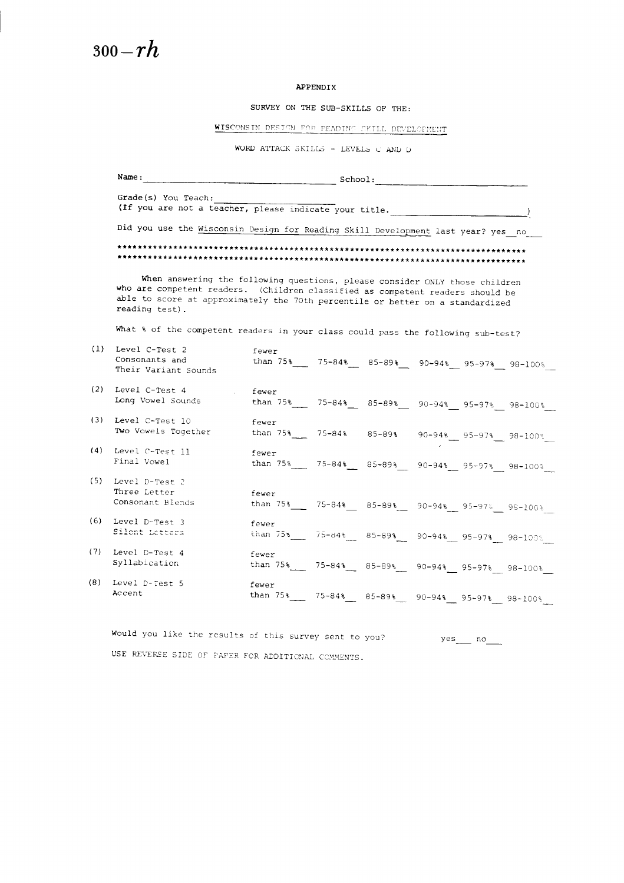#### *APPENDIX*

*SURVEY ON THE SUB-SKILLS OF THE:*

*WISCONSIN* PFPT^N F^P PEADTN^ ."KILL DEYEI APPENDIX<br>SURVEY ON THE SUB-SKILLS OF THE<br>CONSIN DESIGN FOR PEADING CKILL DEVINENT ATTACK SKILLS - LEVELS C AND I

 $\texttt{WORD}$  ATTACK SKILLS - LEVELS C AND D

|     | Name:<br>School:<br><u> 1980 - Jan Barristo, martin e</u> ta batean                                                                                                                                                                                               |                                                                                                                               |  |  |  |  |  |  |  |
|-----|-------------------------------------------------------------------------------------------------------------------------------------------------------------------------------------------------------------------------------------------------------------------|-------------------------------------------------------------------------------------------------------------------------------|--|--|--|--|--|--|--|
|     | Grade(s) You Teach:                                                                                                                                                                                                                                               |                                                                                                                               |  |  |  |  |  |  |  |
|     | (If you are not a teacher, please indicate your title.                                                                                                                                                                                                            |                                                                                                                               |  |  |  |  |  |  |  |
|     | Did you use the Wisconsin Design for Reading Skill Development last year? yes no                                                                                                                                                                                  |                                                                                                                               |  |  |  |  |  |  |  |
|     | When answering the following questions, please consider ONLY those children<br>who are competent readers. (Children classified as competent readers should be<br>able to score at approximately the 70th percentile or better on a standardized<br>reading test). |                                                                                                                               |  |  |  |  |  |  |  |
|     |                                                                                                                                                                                                                                                                   |                                                                                                                               |  |  |  |  |  |  |  |
|     | What % of the competent readers in your class could pass the following sub-test?                                                                                                                                                                                  |                                                                                                                               |  |  |  |  |  |  |  |
| (1) | Level C-Test 2<br>Consonants and<br>Their Variant Sounds                                                                                                                                                                                                          | fever<br>than $75\frac{1}{2}$ $75-84\frac{1}{2}$ $85-89\frac{1}{2}$ $90-94\frac{1}{2}$ $95-97\frac{1}{2}$ $98-100\frac{1}{2}$ |  |  |  |  |  |  |  |
| (2) | Level C-Test 4<br>Long Vowel Sounds                                                                                                                                                                                                                               | fewer<br>than $75\%$ 75-84% 85-89% 90-94% 95-97% 98-100%                                                                      |  |  |  |  |  |  |  |
|     | (3) Level C-Test 10<br>Two Vowels Together                                                                                                                                                                                                                        | fewer<br>than $75\%$ 75-84% 85-89% 90-94% 95-97% 98-100%                                                                      |  |  |  |  |  |  |  |
| (4) | Level C-Test 11<br>Final Vowel                                                                                                                                                                                                                                    | fewer<br>than $75\%$ 75-84% 85-89% 90-94% 95-97% 98-100%                                                                      |  |  |  |  |  |  |  |
| (5) | Level D-Test 2<br>Three Letter<br>Consonant Blends                                                                                                                                                                                                                | fewer<br>than $75\%$ 75-84% 85-89% 90-94% 95-97% 98-100%                                                                      |  |  |  |  |  |  |  |
| (6) | Level D-Test 3<br>Silent Letters                                                                                                                                                                                                                                  | fewer<br>than $75\%$ 75-84% 85-89% 90-94% 95-97% 98-100%                                                                      |  |  |  |  |  |  |  |
| (7) | Level D-Test 4<br>Syllabication                                                                                                                                                                                                                                   | fewer<br>than 75% 75-84% 85-89% 90-94% 95-97% 98-100%                                                                         |  |  |  |  |  |  |  |
| (8) | Level D-Test 5<br>Accent                                                                                                                                                                                                                                          | fewer<br>than 75%<br>75-84%<br>$85 - 89$ \$<br>90-94% 95-97% 98-100%                                                          |  |  |  |  |  |  |  |

Would you like the results of this survey sent to you? yes no USE REVERSE SIDE OF PAPER FOR ADDITIONAL COMMENTS.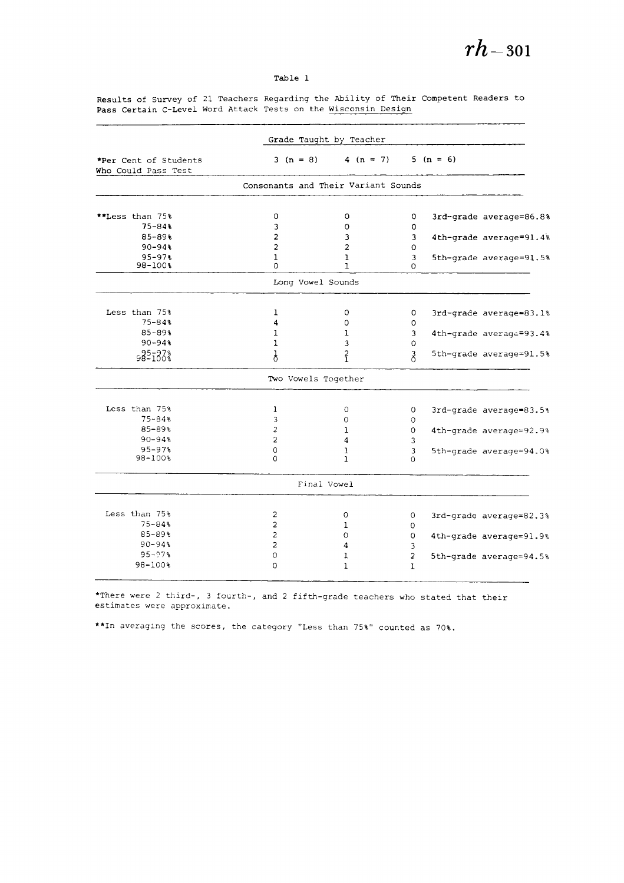#### Table 1

Results of Survey of 21 Teachers Regarding the Ability of Their Competent Readers to Pass Certain C-Level Word Attack Tests on the Wisconsin Design Pass Certain C-Level Word Attack Tests on the Wisconsin Design

| 5 $(n = 6)$<br>4 $(n = 7)$<br>*Per Cent of Students<br>$3(n = 8)$<br>Who Could Pass Test<br>Consonants and Their Variant Sounds<br>**Less than 75%<br>0<br>$\circ$<br>0<br>$75 - 84%$<br>3<br>O<br>O<br>$85 - 89$ %<br>$\overline{a}$<br>3<br>3<br>$\overline{\mathbf{c}}$<br>$\overline{a}$<br>$90 - 94%$<br>$\mathbf 0$<br>$95 - 97%$<br>$\mathbf{1}$<br>3<br>ı<br>$98 - 100$ %<br>$\Omega$<br>1<br>$\Omega$<br>Long Vowel Sounds<br>Less than 75%<br>1<br>0<br>0<br>$75 - 84$ \$<br>$\Omega$<br>4<br>O<br>$85 - 89%$<br>3<br>ı<br>ı<br>$90 - 948$<br>$\mathbf{1}$<br>3<br>0<br>$\frac{2}{1}$<br>985183%<br>λ<br>∛<br>Two Vowels Together<br>Less than 75%<br>1<br>$\circ$<br>0<br>3rd-grade average=83.5%<br>$75 - 84%$<br>3<br>0<br>$\Omega$<br>85-89%<br>2<br>1<br>0<br>4th-grade average=92.9%<br>$90 - 94%$<br>$\overline{a}$<br>3<br>4<br>$95 - 97%$<br>0<br>3<br>1<br>$98 - 1003$<br>$\Omega$<br>1<br>$\Omega$ |                         |
|-------------------------------------------------------------------------------------------------------------------------------------------------------------------------------------------------------------------------------------------------------------------------------------------------------------------------------------------------------------------------------------------------------------------------------------------------------------------------------------------------------------------------------------------------------------------------------------------------------------------------------------------------------------------------------------------------------------------------------------------------------------------------------------------------------------------------------------------------------------------------------------------------------------------------|-------------------------|
|                                                                                                                                                                                                                                                                                                                                                                                                                                                                                                                                                                                                                                                                                                                                                                                                                                                                                                                         |                         |
|                                                                                                                                                                                                                                                                                                                                                                                                                                                                                                                                                                                                                                                                                                                                                                                                                                                                                                                         |                         |
|                                                                                                                                                                                                                                                                                                                                                                                                                                                                                                                                                                                                                                                                                                                                                                                                                                                                                                                         |                         |
|                                                                                                                                                                                                                                                                                                                                                                                                                                                                                                                                                                                                                                                                                                                                                                                                                                                                                                                         | 3rd-grade average=86.8% |
|                                                                                                                                                                                                                                                                                                                                                                                                                                                                                                                                                                                                                                                                                                                                                                                                                                                                                                                         |                         |
|                                                                                                                                                                                                                                                                                                                                                                                                                                                                                                                                                                                                                                                                                                                                                                                                                                                                                                                         | 4th-grade average=91.4% |
|                                                                                                                                                                                                                                                                                                                                                                                                                                                                                                                                                                                                                                                                                                                                                                                                                                                                                                                         |                         |
|                                                                                                                                                                                                                                                                                                                                                                                                                                                                                                                                                                                                                                                                                                                                                                                                                                                                                                                         | 5th-grade average=91.5% |
|                                                                                                                                                                                                                                                                                                                                                                                                                                                                                                                                                                                                                                                                                                                                                                                                                                                                                                                         |                         |
|                                                                                                                                                                                                                                                                                                                                                                                                                                                                                                                                                                                                                                                                                                                                                                                                                                                                                                                         |                         |
|                                                                                                                                                                                                                                                                                                                                                                                                                                                                                                                                                                                                                                                                                                                                                                                                                                                                                                                         | 3rd-grade average=83.1% |
|                                                                                                                                                                                                                                                                                                                                                                                                                                                                                                                                                                                                                                                                                                                                                                                                                                                                                                                         |                         |
|                                                                                                                                                                                                                                                                                                                                                                                                                                                                                                                                                                                                                                                                                                                                                                                                                                                                                                                         | 4th-grade average=93.4% |
|                                                                                                                                                                                                                                                                                                                                                                                                                                                                                                                                                                                                                                                                                                                                                                                                                                                                                                                         |                         |
|                                                                                                                                                                                                                                                                                                                                                                                                                                                                                                                                                                                                                                                                                                                                                                                                                                                                                                                         | 5th-grade average=91.5% |
|                                                                                                                                                                                                                                                                                                                                                                                                                                                                                                                                                                                                                                                                                                                                                                                                                                                                                                                         |                         |
|                                                                                                                                                                                                                                                                                                                                                                                                                                                                                                                                                                                                                                                                                                                                                                                                                                                                                                                         |                         |
|                                                                                                                                                                                                                                                                                                                                                                                                                                                                                                                                                                                                                                                                                                                                                                                                                                                                                                                         |                         |
|                                                                                                                                                                                                                                                                                                                                                                                                                                                                                                                                                                                                                                                                                                                                                                                                                                                                                                                         |                         |
|                                                                                                                                                                                                                                                                                                                                                                                                                                                                                                                                                                                                                                                                                                                                                                                                                                                                                                                         |                         |
|                                                                                                                                                                                                                                                                                                                                                                                                                                                                                                                                                                                                                                                                                                                                                                                                                                                                                                                         | 5th-grade average=94.0% |
|                                                                                                                                                                                                                                                                                                                                                                                                                                                                                                                                                                                                                                                                                                                                                                                                                                                                                                                         |                         |
| Final Vowel                                                                                                                                                                                                                                                                                                                                                                                                                                                                                                                                                                                                                                                                                                                                                                                                                                                                                                             |                         |
| Less than 75%                                                                                                                                                                                                                                                                                                                                                                                                                                                                                                                                                                                                                                                                                                                                                                                                                                                                                                           |                         |
| 2<br>$\circ$<br>0<br>$75 - 84%$                                                                                                                                                                                                                                                                                                                                                                                                                                                                                                                                                                                                                                                                                                                                                                                                                                                                                         | 3rd-grade average=82.3% |
| $\overline{c}$<br>0<br>ı<br>85-89%                                                                                                                                                                                                                                                                                                                                                                                                                                                                                                                                                                                                                                                                                                                                                                                                                                                                                      |                         |
| $\overline{c}$<br>0<br>0<br>$90 - 94%$                                                                                                                                                                                                                                                                                                                                                                                                                                                                                                                                                                                                                                                                                                                                                                                                                                                                                  | 4th-grade average=91.9% |
| $\overline{c}$<br>4<br>3                                                                                                                                                                                                                                                                                                                                                                                                                                                                                                                                                                                                                                                                                                                                                                                                                                                                                                |                         |
| $95 - 97%$<br>$\circ$<br>$\overline{\mathbf{c}}$<br>1                                                                                                                                                                                                                                                                                                                                                                                                                                                                                                                                                                                                                                                                                                                                                                                                                                                                   | 5th-grade average=94.5% |
| 98-100%<br>$\Omega$<br>ı<br>$\mathbf{I}$                                                                                                                                                                                                                                                                                                                                                                                                                                                                                                                                                                                                                                                                                                                                                                                                                                                                                |                         |

\*There were 2 third-, 3 fourth-, and 2 fifth-grade teachers who stated that their estimates were approximate. estimates were approximate.

\*\*In averaging the scores, the category "Less than 75%" counted as 70%. \*\*In averaging the scores. the category "Less than 75%" counted as 70%.